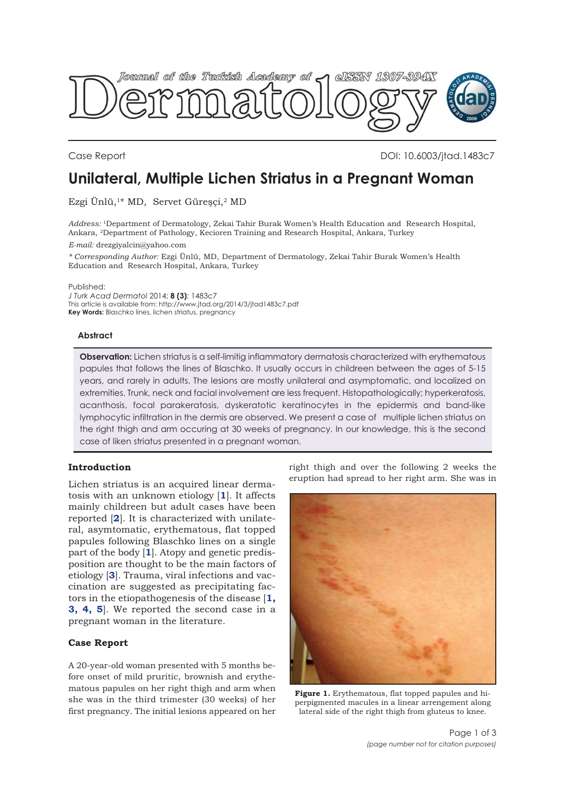<span id="page-0-0"></span>

Case Report DOI: 10.6003/jtad.1483c7

# **Unilateral, Multiple Lichen Striatus in a Pregnant Woman**

Ezgi Ünlü,<sup>1\*</sup> MD, Servet Güreşçi,<sup>2</sup> MD

*Address:* 1Department of Dermatology, Zekai Tahir Burak Women's Health Education and Research Hospital, Ankara, 2Department of Pathology, Kecioren Training and Research Hospital, Ankara, Turkey *E-mail:* drezgiyalcin@yahoo.com

*\* Corresponding Author:* Ezgi Ünlü, MD, Department of Dermatology, Zekai Tahir Burak Women's Health Education and Research Hospital, Ankara, Turkey

Published:

*J Turk Acad Dermatol* 2014; **8 (3)**: 1483c7 This article is available from: http://www.jtad.org/2014/3/jtad1483c7.pdf **Key Words:** Blaschko lines, lichen striatus, pregnancy

### **Abstract**

**Observation:** Lichen striatus is a self-limitig inflammatory dermatosis characterized with erythematous papules that follows the lines of Blaschko. It usually occurs in childreen between the ages of 5-15 years, and rarely in adults. The lesions are mostly unilateral and asymptomatic, and localized on extremities. Trunk, neck and facial involvement are less frequent. Histopathologically; hyperkeratosis, acanthosis, focal parakeratosis, dyskeratotic keratinocytes in the epidermis and band-like lymphocytic infiltration in the dermis are observed. We present a case of multiple lichen striatus on the right thigh and arm occuring at 30 weeks of pregnancy. In our knowledge, this is the second case of liken striatus presented in a pregnant woman.

## **Introduction**

Lichen striatus is an acquired linear dermatosis with an unknown etiology [**[1](#page-1-0)**]. It affects mainly childreen but adult cases have been reported [**[2](#page-1-0)**]. It is characterized with unilateral, asymtomatic, erythematous, flat topped papules following Blaschko lines on a single part of the body [**[1](#page-1-0)**]. Atopy and genetic predisposition are thought to be the main factors of etiology [**[3](#page-2-0)**]. Trauma, viral infections and vaccination are suggested as precipitating factors in the etiopathogenesis of the disease [**[1,](#page-1-0) [3,](#page-1-0) [4,](#page-1-0) [5](#page-1-0)**]. We reported the second case in a pregnant woman in the literature.

## **Case Report**

A 20-year-old woman presented with 5 months before onset of mild pruritic, brownish and erythematous papules on her right thigh and arm when she was in the third trimester (30 weeks) of her first pregnancy. The initial lesions appeared on her right thigh and over the following 2 weeks the eruption had spread to her right arm. She was in



**Figure 1.** Erythematous, flat topped papules and hiperpigmented macules in a linear arrengement along lateral side of the right thigh from gluteus to knee.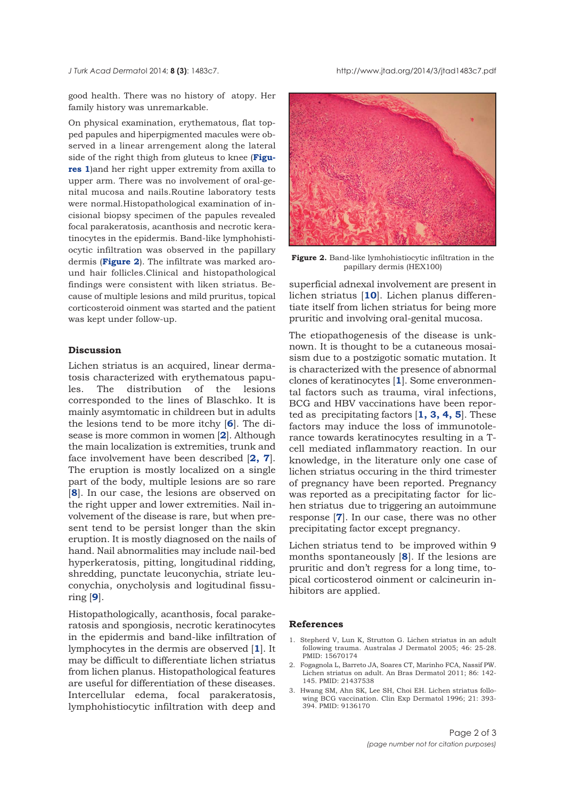<span id="page-1-0"></span>good health. There was no history of atopy. Her family history was unremarkable.

On physical examination, erythematous, flat topped papules and hiperpigmented macules were observed in a linear arrengement along the lateral side of the right thigh from gluteus to knee (**Figures 1**[\)and her right upper extremity from axilla to](#page-0-0) upper arm. There was no involvement of oral-genital mucosa and nails.Routine laboratory tests were normal.Histopathological examination of incisional biopsy specimen of the papules revealed focal parakeratosis, acanthosis and necrotic keratinocytes in the epidermis. Band-like lymphohistiocytic infiltration was observed in the papillary dermis (**Figure 2**). The infiltrate was marked around hair follicles.Clinical and histopathological findings were consistent with liken striatus. Because of multiple lesions and mild pruritus, topical corticosteroid oinment was started and the patient was kept under follow-up.

#### **Discussion**

Lichen striatus is an acquired, linear dermatosis characterized with erythematous papules. The distribution of the lesions corresponded to the lines of Blaschko. It is mainly asymtomatic in childreen but in adults the lesions tend to be more itchy [**[6](#page-2-0)**]. The disease is more common in women [**2**]. Although the main localization is extremities, trunk and face involvement have been described [**[2,](#page-2-0) [7](#page-2-0)**]. The eruption is mostly localized on a single part of the body, multiple lesions are so rare [**8**]. In our case, the lesions are observed on the right upper and lower extremities. Nail involvement of the disease is rare, but when present tend to be persist longer than the skin eruption. It is mostly diagnosed on the nails of hand. Nail abnormalities may include nail-bed hyperkeratosis, pitting, longitudinal ridding, shredding, punctate leuconychia, striate leuconychia, onycholysis and logitudinal fissuring [**[9](#page-2-0)**].

Histopathologically, acanthosis, focal parakeratosis and spongiosis, necrotic keratinocytes in the epidermis and band-like infiltration of lymphocytes in the dermis are observed [**1**]. It may be difficult to differentiate lichen striatus from lichen planus. Histopathological features are useful for differentiation of these diseases. Intercellular edema, focal parakeratosis, lymphohistiocytic infiltration with deep and



**Figure 2.** Band-like lymhohistiocytic infiltration in the papillary dermis (HEX100)

superficial adnexal involvement are present in lichen striatus [**[10](#page-2-0)**]. Lichen planus differentiate itself from lichen striatus for being more pruritic and involving oral-genital mucosa.

The etiopathogenesis of the disease is unknown. It is thought to be a cutaneous mosaisism due to a postzigotic somatic mutation. It is characterized with the presence of abnormal clones of keratinocytes [**1**]. Some enveronmental factors such as trauma, viral infections, BCG and HBV vaccinations have been reported as precipitating factors [**1, [3,](#page-2-0) 4, 5**]. These factors may induce the loss of immunotolerance towards keratinocytes resulting in a Tcell mediated inflammatory reaction. In our knowledge, in the literature only one case of lichen striatus occuring in the third trimester of pregnancy have been reported. Pregnancy was reported as a precipitating factor for lichen striatus due to triggering an autoimmune response [**7**]. In our case, there was no other precipitating factor except pregnancy.

Lichen striatus tend to be improved within 9 months spontaneously [**[8](#page-2-0)**]. If the lesions are pruritic and don't regress for a long time, topical corticosterod oinment or calcineurin inhibitors are applied.

#### **References**

- 1. Stepherd V, Lun K, Strutton G. Lichen striatus in an adult following trauma. Australas J Dermatol 2005; 46: 25-28. PMID: 15670174
- 2. Fogagnola L, Barreto JA, Soares CT, Marinho FCA, Nassif PW. Lichen striatus on adult. An Bras Dermatol 2011; 86: 142- 145. PMID: 21437538
- 3. Hwang SM, Ahn SK, Lee SH, Choi EH. Lichen striatus following BCG vaccination. Clin Exp Dermatol 1996; 21: 393- 394. PMID: 9136170